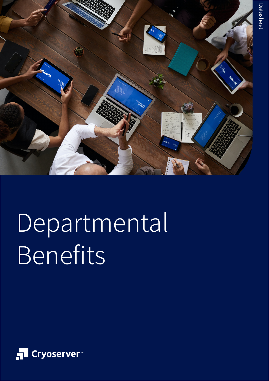

# Departmental Benefits

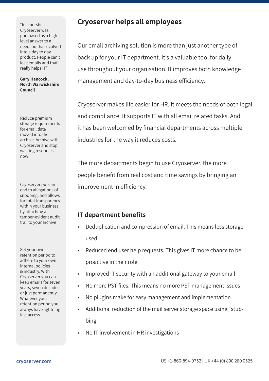"In a nutshell Cryoserver was purchased as a high level answer to a need, but has evolved into a day to day product. People can't lose emails and that really helps IT"

**Gary Hancock, North Warwickshire Council** 

Reduce premium storage requirements for email data moved into the archive. Archive with Cryoserver and stop wasting resources now

Cryoserver puts an end to allegations of snooping, and allows for total transparency within your business by attaching a tamper-evident audit trail to your archive

Set your own retention period to adhere to your own internal policies & industry. With Cryoserver you can keep emails for seven years, seven decades or just permanently. Whatever your retention period you always have lightning fast access.

## **Cryoserver helps all employees**

Our email archiving solution is more than just another type of back up for your IT department. It's a valuable tool for daily use throughout your organisation. It improves both knowledge management and day-to-day business efficiency.

Cryoserver makes life easier for HR. It meets the needs of both legal and compliance. It supports IT with all email related tasks. And it has been welcomed by financial departments across multiple industries for the way it reduces costs.

The more departments begin to use Cryoserver, the more people benefit from real cost and time savings by bringing an improvement in efficiency.

### **IT department benefits**

- Deduplication and compression of email. This means less storage used
- Reduced end user help requests. This gives IT more chance to be proactive in their role
- Improved IT security with an additional gateway to your email
- No more PST files. This means no more PST management issues
- No plugins make for easy management and implementation
- Additional reduction of the mail server storage space using "stubbing"
- No IT involvement in HR investigations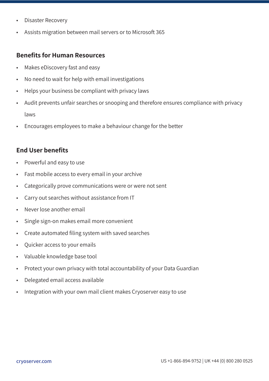- Disaster Recovery
- Assists migration between mail servers or to Microsoft 365

#### **Benefits for Human Resources**

- Makes eDiscovery fast and easy
- No need to wait for help with email investigations
- Helps your business be compliant with privacy laws
- Audit prevents unfair searches or snooping and therefore ensures compliance with privacy laws
- Encourages employees to make a behaviour change for the better

#### **End User benefits**

- Powerful and easy to use
- Fast mobile access to every email in your archive
- Categorically prove communications were or were not sent
- Carry out searches without assistance from IT
- Never lose another email
- Single sign-on makes email more convenient
- Create automated filing system with saved searches
- Quicker access to your emails
- Valuable knowledge base tool
- Protect your own privacy with total accountability of your Data Guardian
- Delegated email access available
- Integration with your own mail client makes Cryoserver easy to use